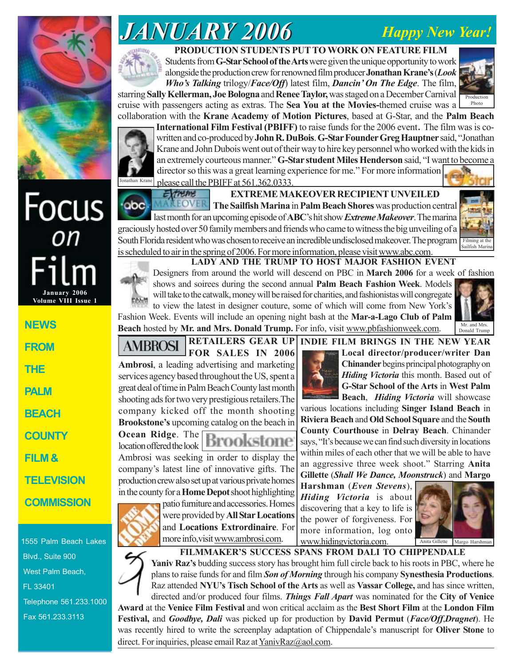# *JANUARY 2006 JANUARY 2006 Happy New Year!*



## **PRODUCTION STUDENTS PUT TO WORK ON FEATURE FILM**

Students from **G-Star School of the Arts** were given the unique opportunity to work alongside the production crew for renowned film producer **Jonathan Krane's** (*Look Who's Talking* trilogy/*Face/Off*) latest film, *Dancin' On The Edge*. The film,





**International Film Festival (PBIFF)** to raise funds for the 2006 event. The film was is cowritten and co-produced by **John R. DuBois**. **G-Star Founder Greg Hauptner** said, "Jonathan Krane and John Dubois went out of their way to hire key personnel who worked with the kids in an extremely courteous manner." **G-Star student Miles Henderson** said, "I want to become a director so this was a great learning experience for me." For more information

Jonathan Krane please call the PBIFF at  $561.362.0333$ . Extreme

**EXTREME MAKEOVER RECIPIENT UNVEILED The Sailfish Marina** in **Palm Beach Shores** was production central

**MAKEOVER** ·obc last month for an upcoming episode of **ABC**'s hit show *Extreme Makeover*. The marina graciously hosted over 50 family members and friends who came to witness the big unveiling of a South Florida resident who was chosen to receive an incredible undisclosed makeover. The program is scheduled to air in the spring of 2006. For more information, please visit www.abc.com.



Photo

### **LADY AND THE TRUMP TO HOST MAJOR FASHION EVENT**

Designers from around the world will descend on PBC in **March 2006** for a week of fashion shows and soirees during the second annual **Palm Beach Fashion Week**. Models will take to the catwalk, money will be raised for charities, and fashionistas will congregate to view the latest in designer couture, some of which will come from New York's

Fashion Week. Events will include an opening night bash at the **Mar-a-Lago Club of Palm Beach** hosted by **Mr. and Mrs. Donald Trump.** For info, visit www.pbfashionweek.com.



#### **RETAILERS GEAR UP INDIE FILM BRINGS IN THE NEW YEAR**



**Ocean Ridge**. The location offered the look Ambrosi was seeking in order to display the company's latest line of innovative gifts. The production crew also set up at various private homes in the county for a **Home Depot** shoot highlighting



various locations including **Singer Island Beach** in **Riviera Beach** and **Old School Square** and the **South County Courthouse** in **Delray Beach**. Chinander says, "It's because we can find such diversity in locations within miles of each other that we will be able to have an aggressive three week shoot." Starring **Anita**

**Local director/producer/writer Dan Chinander** begins principal photography on *Hiding Victoria* this month. Based out of **G-Star School of the Arts** in **West Palm Beach**, *Hiding Victoria* will showcase

**Harshman** (*Even Stevens*), *Hiding Victoria* is about discovering that a key to life is the power of forgiveness. For more information, log onto www.hidingvictoria.com.



1555 Palm Beach Lakes Blvd., Suite 900 West Palm Beach, Telephone 561.233.1000

Fax 561.233.3113

FL 33401

**Volume VIII Issue 1** 

**January 2006**

**Focus** 

 $\frac{1}{2}$ 

**NEWS**

**FROM**

**THE**

**PALM**

**BEACH**

**COUNTY**

**TELEVISION**

**COMMISSION**

**FILM &**



patio furniture and accessories. Homes were provided by **All Star Locations** and **Locations Extrordinaire**. For more info,visit www.ambrosi.com.

**FILMMAKER'S SUCCESS SPANS FROM DALI TO CHIPPENDALE Yaniv Raz's** budding success story has brought him full circle back to his roots in PBC, where he

plans to raise funds for and film *Son of Morning* through his company **Synesthesia Productions**. Raz attended **NYU's Tisch School of the Arts** as well as **Vassar College,** and has since written, directed and/or produced four films. *Things Fall Apart* was nominated for the **City of Venice**

**Award** at the **Venice Film Festival** and won critical acclaim as the **Best Short Film** at the **London Film Festival,** and *Goodbye, Dali* was picked up for production by **David Permut** (*Face/Off*,*Dragnet*). He was recently hired to write the screenplay adaptation of Chippendale's manuscript for **Oliver Stone** to direct. For inquiries, please email Raz at YanivRaz@aol.com.